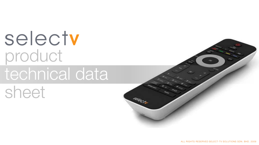selectv product technical data sheet

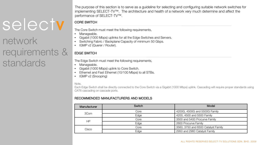### network requirements & standards

The purpose of this section is to serve as a guideline for selecting and configuring suitable network switches for implementing SELECT-TV™. The architecture and health of a network very much determine and affect the performance of SELECT-TV™.

### CORE SWITCH

The Core Switch must meet the following requirements,

- Manageable.
- Gigabit (1000 Mbps) uplinks for all the Edge Switches and Servers.
- Switching Fabric / Backplane Capacity of minimum 50 Gbps.
- IGMP v2 (Querer / Router).

### EDGE SWITCH

The Edge Switch must meet the following requirements,

- Manageable.
- Gigabit (1000 Mbps) uplink to Core Switch.
- Ethernet and Fast Ethernet (10/100 Mbps) to all STBs.
- IGMP v2 (Snooping)

### Note,

Each Edge Switch shall be directly connected to the Core Switch via a Gigabit (1000 Mbps) uplink. Cascading will require proper standards using CAT6 cascading on cascade ports.

### RECOMMENDED MANUFACTURERS AND MODELS

| Manufacturer | Switch | Model                               |
|--------------|--------|-------------------------------------|
| 3Com         | Core   | 4200G, 4500G and 5500G Family       |
|              | Edge   | 4200, 4500 and 5500 Family          |
| НP           | Core   | 3500 and 5400 Procurve Family       |
|              | Edge   | 2600 Procurve Family                |
| Cisco        | Core   | 3560, 3750 and 6500 Catalyst Family |
|              | Edge   | 2950 and 2960 Catalyst Family       |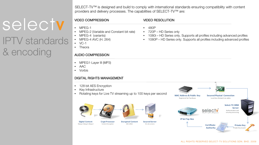SELECT-TV™ is designed and build to comply with international standards ensuring compatibility with content providers and delivery processes. The capabilities of SELECT-TV™ are:

### VIDEO COMPRESSION

- MPEG-1
- MPEG-2 (Variable and Constant bit rate)
- MPEG-4 (variants)
- MPEG-4 AVC (H. 264)
- $VC-1$

IPTV standards

selectv

& encoding

• Theora

### AUDIO COMPRESSION

- MPEG1-Layer III (MP3)
- AAC
- Vorbis

### DIGITAL RIGHTS MANAGEMENT

- 128 bit AES Encryption
- Key Infrastructure
- Rotating keys for Live TV streaming up to 100 keys per second







**Encrypted Content** AES 128bit

On-site servers

### VIDEO RESOLUTION

- 480P
- 720P HD Series only
- 1080i HD Series only. Supports all profiles including advanced profiles
- 1080P HD Series only. Supports all profiles including advanced profiles

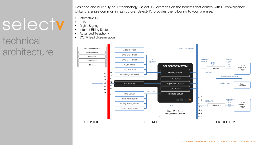### technical **architecture**

Designed and built fully on IP technology, Select-TV leverages on the benefits that comes with IP convergence. Utilizing a single common infrastructure, Select-TV provides the following to your premise:

- Interactive TV
- IPTV
- Digital Signage
- Internet Billing System
- Advanced Telephony
- CCTV feed dissemination

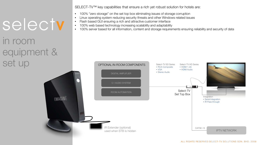in room equipment & set up

SELECT-TV™ key capabilities that ensure a rich yet robust solution for hotels are:

- 100% "zero storage" on the set top box eliminating issues of storage corruption
- Linux operating system reducing security threats and other Windows related issues
- Flash based GUI ensuring a rich and attractive customer interface
- 100% web based technology increasing scalability and adaptability
- 100% server based for all information, content and storage requirements ensuring reliability and security of data

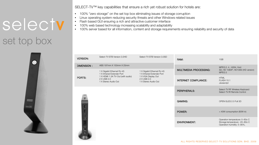## selecty set top box



SELECT-TV™ key capabilities that ensure a rich yet robust solution for hotels are:

- 100% "zero storage" on the set top box eliminating issues of storage corruption
- Linux operating system reducing security threats and other Windows related issues
- Flash based GUI ensuring a rich and attractive customer interface
- 100% web based technology increasing scalability and adaptability
- 100% server based for all information, content and storage requirements ensuring reliability and security of data

| <b>VERSION:</b>   | Select-TV STB Version 3.0HD                                                                                                          | Select-TV STB Version 3.0SD                                                                                            | RAM.                        | 1GB                                                                                            |
|-------------------|--------------------------------------------------------------------------------------------------------------------------------------|------------------------------------------------------------------------------------------------------------------------|-----------------------------|------------------------------------------------------------------------------------------------|
| <b>DIMENSION:</b> | ABS 197mm X 150mm X 25mm                                                                                                             |                                                                                                                        |                             | MPEG 2, 4, .H264, Xvid                                                                         |
| PORTS:            | 1 X Gigabit Ethernet RJ-45<br>1 X Infrared Extender Port<br>1 X HDMI 1.3A TV-Out (with audio)<br>2 X USB 2.0<br>1 X Stereo Audio Out | 1 X Gigabit Ethernet RJ-45<br>1 X Infrared Extender Port<br>1 X VGA Display Out<br>2 X USB 2.0<br>1 X Stereo Audio Out | MULTIMEDIA PROCESSING:      | SD, HD 1080P, HD1080i (HD version)<br>MPFG3                                                    |
|                   |                                                                                                                                      |                                                                                                                        | <b>INTERNET COMPLIANCE:</b> | <b>HTML</b><br>FI ASH 10.1<br>Javascript                                                       |
|                   |                                                                                                                                      |                                                                                                                        | PERIPHERALS:                | Select-TV RF Wireless Keyboard<br>Select-TV IR Remote Control                                  |
| ₩                 |                                                                                                                                      |                                                                                                                        | GAMING:                     | OPEN GLES 2.0 Full 3D                                                                          |
|                   |                                                                                                                                      |                                                                                                                        | POWER:                      | < 40W consumption (60W in)                                                                     |
| υ<br>Ξ            |                                                                                                                                      |                                                                                                                        | <b>ENVIRONMENT:</b>         | Operation temperature: 0~60o C<br>Storage temperature: -20~80o C<br>Operation humidity: 5~95%, |
|                   |                                                                                                                                      |                                                                                                                        |                             |                                                                                                |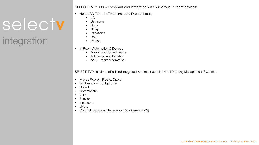SELECT-TV™ is fully compliant and integrated with numerous in-room devices:

- Hotel LCD TVs for TV controls and IR pass through
	- LG
	- Samsung
	- **Sony**
	- **Sharp**
	- **Panasonic**
	- B&O
	- Phillips
- In Room Automation & Devices
	- Marrantz Home Theatre
	- ABB room automation
	- AMX room automation

SELECT-TV™ is fully certified and integrated with most popular Hotel Property Management Systems:

- Micros Fidelio Fidelio, Opera
- Softbrands HIS, Epitome
- Hotsoft
- Commanche
- VHP

integration

selectv

- Easyfor
- Innkeeper
- eHors
- Comtrol (common interface for 150 different PMS)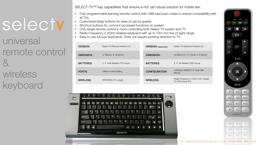universal remote control & **wireless** keyboard

SELECT-TV™ key capabilities that ensure a rich yet robust solution for hotels are:

- Fully programmable learning remote control with USB load scan codes to ensure compatibility with all TVs
- Customized large buttons for ease of use by guests
- Shortcut buttons for common accessed functions on system
- Only single remote control in room controlling both Select-TV system and TV
- Radio Frequency 2.4GHz wireless keyboard with up to 10m non line of sight range
- Easy to use full size keyboards. Does not require pointing direction to TV.

|  | <b>VERSION:</b>   | Select-TV Remote Version 3.0 | <b>VERSION:</b> (optional item) | Select-TV Keyboard Version 3.0                          |
|--|-------------------|------------------------------|---------------------------------|---------------------------------------------------------|
|  | DIMENSION:        | $H$ 190mm $X$ W 50mm         | DIMENSION:                      | W 400mm X H 175mm X D 38mm                              |
|  | <b>BATTERIES:</b> | 2 X AAA Alkaline (720 hours) | <b>BATTERIES:</b>               | 4 X AA Alkaline (360 hours)                             |
|  | PORTS:            | USB for code loading         | CONFIGURATION:                  | Full Sized OWERTY & Track Ball<br>Mouse                 |
|  | WIRELESS:         | INFRARED (7m range)          | <b>WIRELESS:</b>                | Radio Frequency 2.4Ghz (10m range)<br>32,768 unique IDs |



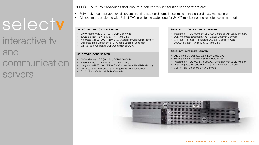### interactive tv and communication servers

SELECT-TV™ key capabilities that ensure a rich yet robust solution for operators are:

- Fully rack mount servers for all servers ensuring standard compliance implementation and easy management
	- All servers are equipped with Select-TV's monitoring watch dog for 24 X 7 monitoring and remote access support

#### SELECT-TV APPLICATION SERVER

- DIMM Memory 2GB (2x1024), DDR-2 667MHz
- 80GB 3.5-inch 7.2K RPM SATA II Hard Drive
- Integrated ATI ES1000 (RN50) SVGA Controller with 32MB Memory
- Dual Integrated Broadcom 5721 Gigabit Ethernet Controller
- C2: No Raid, On-board SATA Controller, 2 SATA

### SELECT-TV CORE SERVER

- DIMM Memory 2GB (2x1024), DDR-2 667MHz
- 80GB 3.5-inch 7.2K RPM SATA II Hard Drive
- Integrated ATI ES1000 (RN50) SVGA Controller with 32MB Memory
- Dual Integrated Broadcom 5721 Gigabit Ethernet Controller
- C2: No Raid, On-board SATA Controller

#### SELECT-TV CONTENT MEDIA SERVER

- Integrated ATI ES1000 (RN50) SVGA Controller with 32MB Memory
- Dual Integrated Broadcom 5721 Gigabit Ethernet Controller
- C4: Raid 1, SAS6i/R Integrated SAS 6/iR Controller Card
- 300GB 3.5-inch 15K RPM SAS Hard Drive

#### SELECT-TV INTERNET SERVER

- DIMM Memory 2GB (2x1024), DDR-2 667MHz
- 80GB 3.5-inch 7.2K RPM SATA II Hard Drive
- Integrated ATI ES1000 (RN50) SVGA Controller with 32MB Memory
- Dual Integrated Broadcom 5721 Gigabit Ethernet Controller
- C2: No Raid, On-board SATA Controller

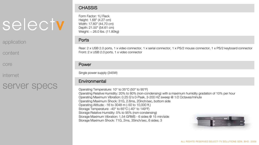application

content

core

internet

### server specs

**CHASSIS** 

Form Factor: 1U Rack Height: 1.68" (4.27 cm) Width: 17.60" (44.70 cm) Depth: 21.50" (54.61 cm) Weight: ~ 26.0 lbs. (11.80kg)

### **Ports**

Rear: 2 x USB 2.0 ports, 1 x video connector, 1 x serial connector, 1 x PS/2 mouse connector, 1 x PS/2 keyboard connector Front: 2 x USB 2.0 ports, 1 x video connector

### Power

Single power supply (345W)

### **Environmental**

Operating Temperature: 10° to 35°C (50° to 95°F) Operating Relative Humidity: 20% to 80% (non-condensing) with a maximum humidity gradation of 10% per hour Operating Maximum Vibration: 0.25 G's 0-Peak, 3-200 HZ sweep @ 1/2 Octaves/minute Operating Maximum Shock: 31G, 2.6ms, 20inch/sec, bottom side Operating Altitude: -16 to 3048 m (-50 to 10,000 ft.) Storage Temperature: -40° to 65°C (-40° to 149°F) Storage Relative Humidity: 5% to 95% (non-condensing) Storage Maximum Vibration: 1.54 GRMS - 6 sides @ 15 min/side Storage Maximum Shock: 71G, 2ms, 35inch/sec, 6 sides; 3